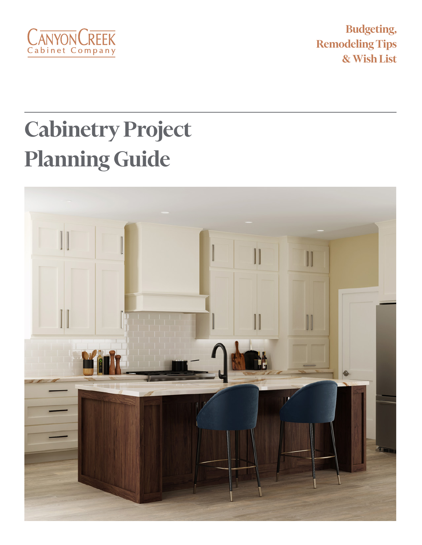

**Budgeting, Remodeling Tips & Wish List**

# **Cabinetry Project Planning Guide**

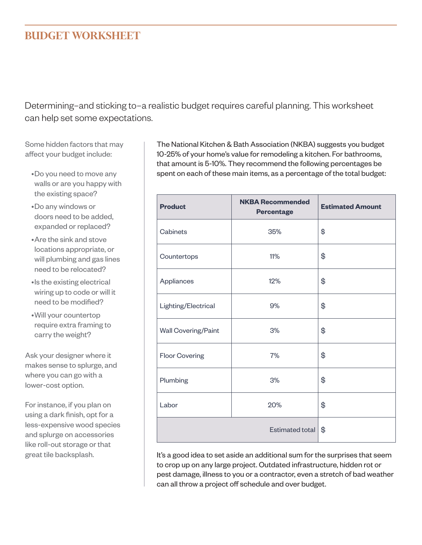#### **BUDGET WORKSHEET**

Determining–and sticking to–a realistic budget requires careful planning. This worksheet can help set some expectations.

Some hidden factors that may affect your budget include:

- •Do you need to move any walls or are you happy with the existing space?
- •Do any windows or doors need to be added, expanded or replaced?
- •Are the sink and stove locations appropriate, or will plumbing and gas lines need to be relocated?
- •Is the existing electrical wiring up to code or will it need to be modified?
- •Will your countertop require extra framing to carry the weight?

Ask your designer where it makes sense to splurge, and where you can go with a lower-cost option.

For instance, if you plan on using a dark finish, opt for a less-expensive wood species and splurge on accessories like roll-out storage or that great tile backsplash.

The National Kitchen & Bath Association (NKBA) suggests you budget 10-25% of your home's value for remodeling a kitchen. For bathrooms, that amount is 5-10%. They recommend the following percentages be spent on each of these main items, as a percentage of the total budget:

| <b>Product</b>        | <b>NKBA Recommended</b><br><b>Percentage</b> | <b>Estimated Amount</b> |
|-----------------------|----------------------------------------------|-------------------------|
| Cabinets              | 35%                                          | \$                      |
| Countertops           | 11%                                          | \$                      |
| Appliances            | 12%                                          | \$                      |
| Lighting/Electrical   | 9%                                           | \$                      |
| Wall Covering/Paint   | 3%                                           | \$                      |
| <b>Floor Covering</b> | 7%                                           | \$                      |
| Plumbing              | 3%                                           | \$                      |
| Labor                 | 20%                                          | \$                      |
|                       | Estimated total                              | \$                      |

It's a good idea to set aside an additional sum for the surprises that seem to crop up on any large project. Outdated infrastructure, hidden rot or pest damage, illness to you or a contractor, even a stretch of bad weather can all throw a project off schedule and over budget.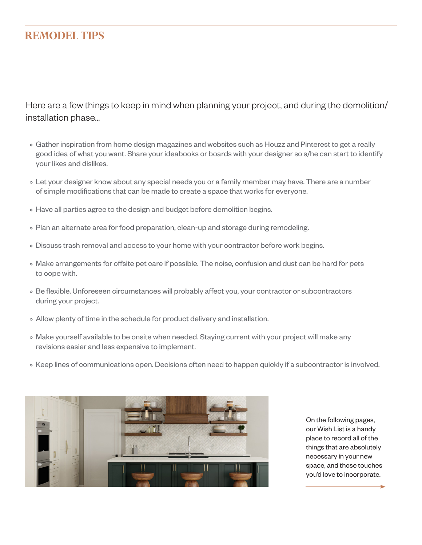#### **REMODEL TIPS**

Here are a few things to keep in mind when planning your project, and during the demolition/ installation phase...

- » Gather inspiration from home design magazines and websites such as Houzz and Pinterest to get a really good idea of what you want. Share your ideabooks or boards with your designer so s/he can start to identify your likes and dislikes.
- » Let your designer know about any special needs you or a family member may have. There are a number of simple modifications that can be made to create a space that works for everyone.
- » Have all parties agree to the design and budget before demolition begins.
- » Plan an alternate area for food preparation, clean-up and storage during remodeling.
- » Discuss trash removal and access to your home with your contractor before work begins.
- » Make arrangements for offsite pet care if possible. The noise, confusion and dust can be hard for pets to cope with.
- » Be flexible. Unforeseen circumstances will probably affect you, your contractor or subcontractors during your project.
- » Allow plenty of time in the schedule for product delivery and installation.
- » Make yourself available to be onsite when needed. Staying current with your project will make any revisions easier and less expensive to implement.
- » Keep lines of communications open. Decisions often need to happen quickly if a subcontractor is involved.



On the following pages, our Wish List is a handy place to record all of the things that are absolutely necessary in your new space, and those touches you'd love to incorporate.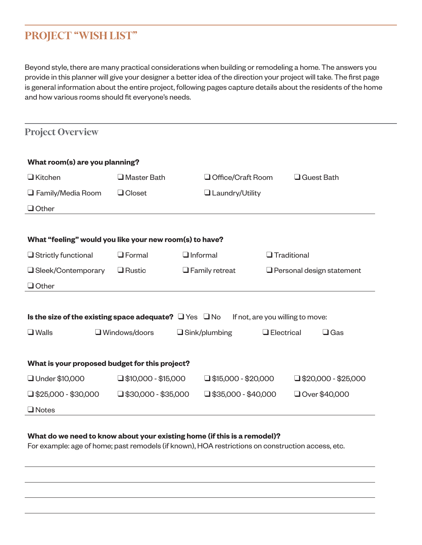#### **PROJECT "WISH LIST"**

Beyond style, there are many practical considerations when building or remodeling a home. The answers you provide in this planner will give your designer a better idea of the direction your project will take. The first page is general information about the entire project, following pages capture details about the residents of the home and how various rooms should fit everyone's needs.

| <b>Project Overview</b>                                          |                            |                                        |                                  |  |
|------------------------------------------------------------------|----------------------------|----------------------------------------|----------------------------------|--|
| What room(s) are you planning?                                   |                            |                                        |                                  |  |
| $\Box$ Kitchen                                                   | $\square$ Master Bath      | $\Box$ Guest Bath<br>Office/Craft Room |                                  |  |
| $\Box$ Family/Media Room                                         | $\Box$ Closet              | Laundry/Utility                        |                                  |  |
| $\Box$ Other                                                     |                            |                                        |                                  |  |
|                                                                  |                            |                                        |                                  |  |
| What "feeling" would you like your new room(s) to have?          |                            |                                        |                                  |  |
| $\Box$ Strictly functional                                       | $\Box$ Formal              | $\Box$ Informal<br>$\Box$ Traditional  |                                  |  |
| □ Sleek/Contemporary                                             | $\Box$ Rustic              | $\Box$ Family retreat                  | $\Box$ Personal design statement |  |
| $\Box$ Other                                                     |                            |                                        |                                  |  |
|                                                                  |                            |                                        |                                  |  |
| Is the size of the existing space adequate? $\Box$ Yes $\Box$ No |                            |                                        | If not, are you willing to move: |  |
| $\Box$ Walls                                                     | $\Box$ Windows/doors       | $\Box$ Sink/plumbing                   | $\Box$ Gas<br>$\Box$ Electrical  |  |
|                                                                  |                            |                                        |                                  |  |
| What is your proposed budget for this project?                   |                            |                                        |                                  |  |
| □ Under \$10,000                                                 | $\Box$ \$10,000 - \$15,000 | $\Box$ \$15,000 - \$20,000             | $\Box$ \$20,000 - \$25,000       |  |
| $\Box$ \$25,000 - \$30,000                                       | $\Box$ \$30,000 - \$35,000 | $\Box$ \$35,000 - \$40,000             | Over \$40,000                    |  |
| $\Box$ Notes                                                     |                            |                                        |                                  |  |

#### **What do we need to know about your existing home (if this is a remodel)?**

For example: age of home; past remodels (if known), HOA restrictions on construction access, etc.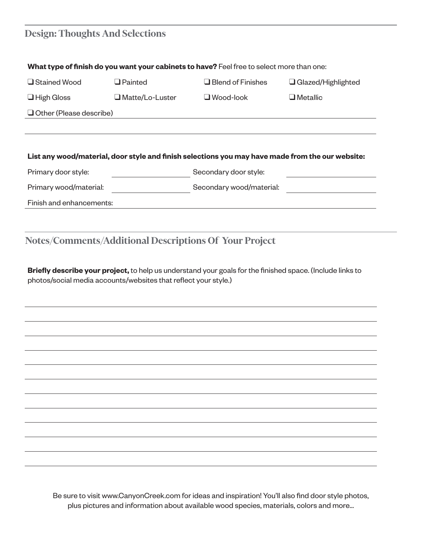#### **Design: Thoughts And Selections**

|                                |                        | What type of finish do you want your cabinets to have? Feel free to select more than one:        |                           |
|--------------------------------|------------------------|--------------------------------------------------------------------------------------------------|---------------------------|
| □ Stained Wood                 | $\Box$ Painted         | $\Box$ Blend of Finishes                                                                         | $\Box$ Glazed/Highlighted |
| $\Box$ High Gloss              | $\Box$ Matte/Lo-Luster | $\Box$ Wood-look                                                                                 | $\Box$ Metallic           |
| $\Box$ Other (Please describe) |                        |                                                                                                  |                           |
|                                |                        |                                                                                                  |                           |
|                                |                        | List any wood/material, door style and finish selections you may have made from the our website: |                           |
| Primary door style:            |                        | Secondary door style:                                                                            |                           |
| Primary wood/material:         |                        | Secondary wood/material:                                                                         |                           |
| Finish and enhancements:       |                        |                                                                                                  |                           |
|                                |                        |                                                                                                  |                           |
|                                |                        |                                                                                                  |                           |
|                                |                        | <b>Notes/Comments/Additional Descriptions Of Your Project</b>                                    |                           |

**Briefly describe your project,** to help us understand your goals for the finished space. (Include links to photos/social media accounts/websites that reflect your style.)

Be sure to visit www.CanyonCreek.com for ideas and inspiration! You'll also find door style photos, plus pictures and information about available wood species, materials, colors and more...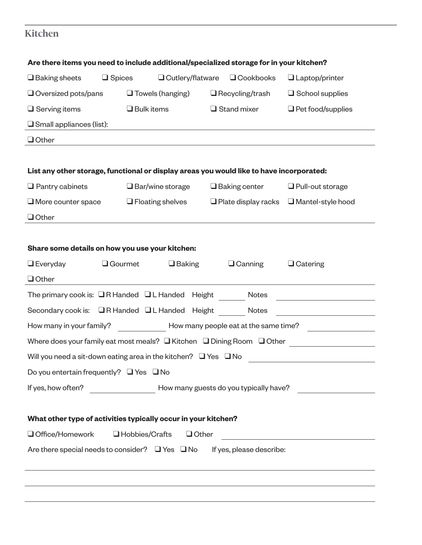### **Kitchen**

| Are there items you need to include additional/specialized storage for in your kitchen?  |                   |                         |  |                                       |                                                          |
|------------------------------------------------------------------------------------------|-------------------|-------------------------|--|---------------------------------------|----------------------------------------------------------|
| $\Box$ Baking sheets                                                                     | $\square$ Spices  | □ Cutlery/flatware      |  | $\Box$ Cookbooks                      | $\Box$ Laptop/printer                                    |
| $\Box$ Oversized pots/pans                                                               |                   | $\Box$ Towels (hanging) |  | $\Box$ Recycling/trash                | $\Box$ School supplies                                   |
| $\Box$ Serving items                                                                     | $\Box$ Bulk items |                         |  | $\Box$ Stand mixer                    | $\Box$ Pet food/supplies                                 |
| $\square$ Small appliances (list):                                                       |                   |                         |  |                                       |                                                          |
| $\Box$ Other                                                                             |                   |                         |  |                                       |                                                          |
| List any other storage, functional or display areas you would like to have incorporated: |                   |                         |  |                                       |                                                          |
| $\Box$ Pantry cabinets                                                                   |                   | $\Box$ Bar/wine storage |  | $\Box$ Baking center                  | $\Box$ Pull-out storage                                  |
| $\Box$ More counter space                                                                |                   | $\Box$ Floating shelves |  | $\Box$ Plate display racks            | $\Box$ Mantel-style hood                                 |
| $\Box$ Other                                                                             |                   |                         |  |                                       |                                                          |
|                                                                                          |                   |                         |  |                                       |                                                          |
| Share some details on how you use your kitchen:                                          |                   |                         |  |                                       |                                                          |
| $\Box$ Everyday                                                                          | <b>Q</b> Gourmet  | $\Box$ Baking           |  | $\Box$ Canning                        | $\Box$ Catering                                          |
| $\Box$ Other                                                                             |                   |                         |  |                                       |                                                          |
| The primary cook is: $\Box$ R Handed $\Box$ L Handed Height                              |                   |                         |  | Notes                                 | <u> 1980 - Johann Barbara, martxa al</u>                 |
| Secondary cook is: <b>QR Handed</b> QL Handed Height                                     |                   |                         |  | Notes                                 |                                                          |
| How many in your family?                                                                 |                   |                         |  | How many people eat at the same time? |                                                          |
| Where does your family eat most meals? $\Box$ Kitchen $\Box$ Dining Room $\Box$ Other    |                   |                         |  |                                       |                                                          |
| Will you need a sit-down eating area in the kitchen? $\Box$ Yes $\Box$ No                |                   |                         |  |                                       |                                                          |
| Do you entertain frequently? $\Box$ Yes $\Box$ No                                        |                   |                         |  |                                       |                                                          |
| How many guests do you typically have?<br>If yes, how often?                             |                   |                         |  |                                       |                                                          |
|                                                                                          |                   |                         |  |                                       |                                                          |
| What other type of activities typically occur in your kitchen?                           |                   |                         |  |                                       |                                                          |
| Office/Homework                                                                          | □ Hobbies/Crafts  | $\Box$ Other            |  |                                       | <u> 1980 - Johann John Stone, mars eta biztanleria (</u> |
| Are there special needs to consider? $\Box$ Yes $\Box$ No<br>If yes, please describe:    |                   |                         |  |                                       |                                                          |
|                                                                                          |                   |                         |  |                                       |                                                          |
|                                                                                          |                   |                         |  |                                       |                                                          |
|                                                                                          |                   |                         |  |                                       |                                                          |
|                                                                                          |                   |                         |  |                                       |                                                          |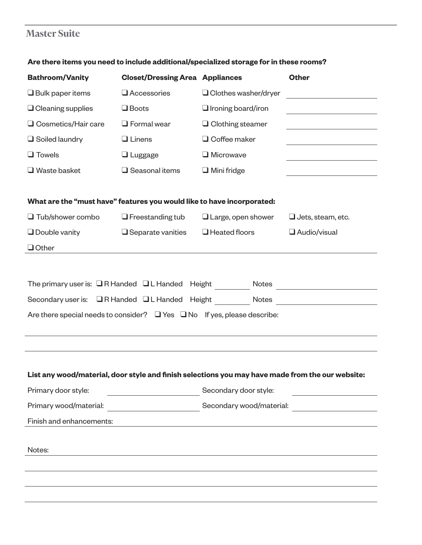#### **Master Suite**

| <b>Bathroom/Vanity</b>                                                                                                  | <b>Closet/Dressing Area Appliances</b>         |                             | <b>Other</b>                                                                                                         |
|-------------------------------------------------------------------------------------------------------------------------|------------------------------------------------|-----------------------------|----------------------------------------------------------------------------------------------------------------------|
| $\Box$ Bulk paper items                                                                                                 | $\Box$ Accessories                             | $\Box$ Clothes washer/dryer | <u> 1980 - Johann Barbara, martxa a</u>                                                                              |
| $\Box$ Cleaning supplies                                                                                                | $\Box$ Boots                                   | $\Box$ Ironing board/iron   |                                                                                                                      |
| □ Cosmetics/Hair care                                                                                                   | $\Box$ Formal wear                             | $\Box$ Clothing steamer     | the control of the control of the control of the control of                                                          |
| $\Box$ Soiled laundry                                                                                                   | $\Box$ Linens                                  | $\Box$ Coffee maker         |                                                                                                                      |
| $\Box$ Towels                                                                                                           | $\Box$ Luggage                                 | $\Box$ Microwave            |                                                                                                                      |
| $\Box$ Waste basket                                                                                                     | $\Box$ Seasonal items                          | $\Box$ Mini fridge          |                                                                                                                      |
| What are the "must have" features you would like to have incorporated:                                                  |                                                |                             |                                                                                                                      |
| $\Box$ Tub/shower combo                                                                                                 | $\Box$ Freestanding tub                        | $\Box$ Large, open shower   | $\Box$ Jets, steam, etc.                                                                                             |
| $\Box$ Double vanity                                                                                                    | $\Box$ Separate vanities                       | $\Box$ Heated floors        | Audio/visual                                                                                                         |
| $\Box$ Other                                                                                                            |                                                |                             |                                                                                                                      |
| Are there special needs to consider? $\Box$ Yes $\Box$ No If yes, please describe:                                      |                                                |                             | Secondary user is: QR Handed QL Handed Height Notes Notes                                                            |
| List any wood/material, door style and finish selections you may have made from the our website:<br>Primary door style: | <u> 1990 - Johann Barbara, p</u> ersonal       | Secondary door style:       |                                                                                                                      |
| Primary wood/material:                                                                                                  | <u> 1989 - Johann Barn, mars eta inperiodo</u> | Secondary wood/material:    | <u> 1989 - Jan Barbara Barat, prima popular popular popular popular popular popular popular popular popular popu</u> |
| Finish and enhancements:                                                                                                |                                                |                             |                                                                                                                      |
| Notes:                                                                                                                  |                                                |                             |                                                                                                                      |
|                                                                                                                         |                                                |                             |                                                                                                                      |

#### **Are there items you need to include additional/specialized storage for in these rooms?**